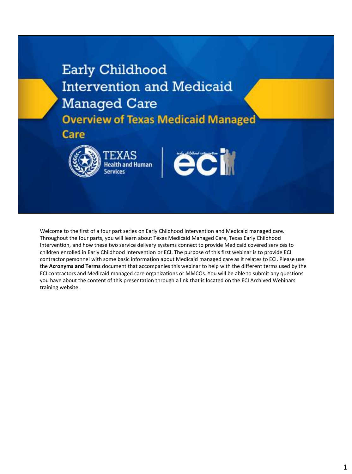## Early Childhood **Intervention and Medicaid Managed Care Overview of Texas Medicaid Managed**

Care



**EXAS Health and Human** 



Welcome to the first of a four part series on Early Childhood Intervention and Medicaid managed care. Throughout the four parts, you will learn about Texas Medicaid Managed Care, Texas Early Childhood Intervention, and how these two service delivery systems connect to provide Medicaid covered services to children enrolled in Early Childhood Intervention or ECI. The purpose of this first webinar is to provide ECI contractor personnel with some basic information about Medicaid managed care as it relates to ECI. Please use the **Acronyms and Terms** document that accompanies this webinar to help with the different terms used by the ECI contractors and Medicaid managed care organizations or MMCOs. You will be able to submit any questions you have about the content of this presentation through a link that is located on the ECI Archived Webinars training website.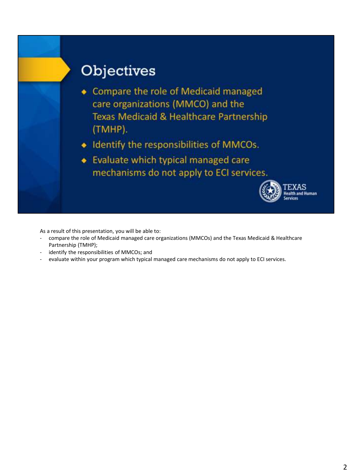

As a result of this presentation, you will be able to:

- compare the role of Medicaid managed care organizations (MMCOs) and the Texas Medicaid & Healthcare Partnership (TMHP);
- identify the responsibilities of MMCOs; and
- evaluate within your program which typical managed care mechanisms do not apply to ECI services.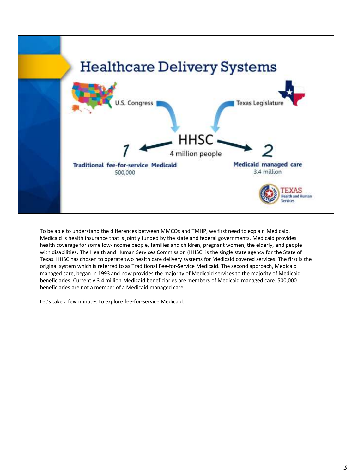

To be able to understand the differences between MMCOs and TMHP, we first need to explain Medicaid. Medicaid is health insurance that is jointly funded by the state and federal governments. Medicaid provides health coverage for some low-income people, families and children, pregnant women, the elderly, and people with disabilities. The Health and Human Services Commission (HHSC) is the single state agency for the State of Texas. HHSC has chosen to operate two health care delivery systems for Medicaid covered services. The first is the original system which is referred to as Traditional Fee-for-Service Medicaid. The second approach, Medicaid managed care, began in 1993 and now provides the majority of Medicaid services to the majority of Medicaid beneficiaries. Currently 3.4 million Medicaid beneficiaries are members of Medicaid managed care. 500,000 beneficiaries are not a member of a Medicaid managed care.

Let's take a few minutes to explore fee-for-service Medicaid.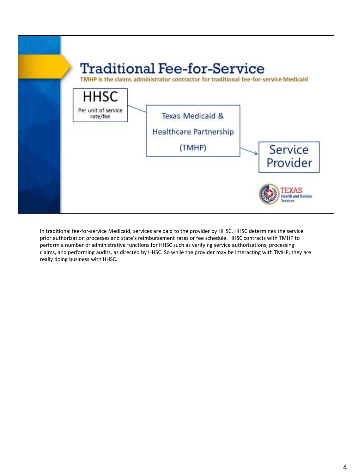

In traditional fee-for-service Medicaid, services are paid to the provider by HHSC. HHSC determines the service prior authorization processes and state's reimbursement rates or fee schedule. HHSC contracts with TMHP to perform a number of administrative functions for HHSC such as verifying service authorizations, processing claims, and performing audits, as directed by HHSC. So while the provider may be interacting with TMHP, they are really doing business with HHSC.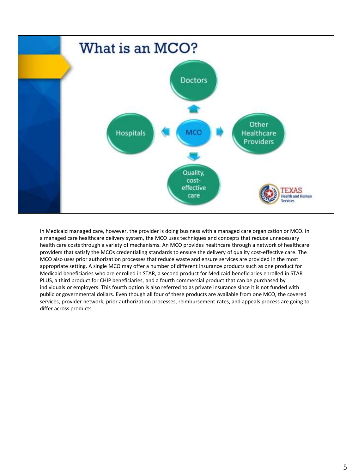

In Medicaid managed care, however, the provider is doing business with a managed care organization or MCO. In a managed care healthcare delivery system, the MCO uses techniques and concepts that reduce unnecessary health care costs through a variety of mechanisms. An MCO provides healthcare through a network of healthcare providers that satisfy the MCOs credentialing standards to ensure the delivery of quality cost-effective care. The MCO also uses prior authorization processes that reduce waste and ensure services are provided in the most appropriate setting. A single MCO may offer a number of different insurance products such as one product for Medicaid beneficiaries who are enrolled in STAR, a second product for Medicaid beneficiaries enrolled in STAR PLUS, a third product for CHIP beneficiaries, and a fourth commercial product that can be purchased by individuals or employers. This fourth option is also referred to as private insurance since it is not funded with public or governmental dollars. Even though all four of these products are available from one MCO, the covered services, provider network, prior authorization processes, reimbursement rates, and appeals process are going to differ across products.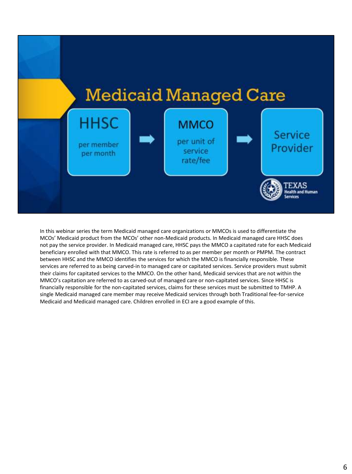

In this webinar series the term Medicaid managed care organizations or MMCOs is used to differentiate the MCOs' Medicaid product from the MCOs' other non-Medicaid products. In Medicaid managed care HHSC does not pay the service provider. In Medicaid managed care, HHSC pays the MMCO a capitated rate for each Medicaid beneficiary enrolled with that MMCO. This rate is referred to as per member per month or PMPM. The contract between HHSC and the MMCO identifies the services for which the MMCO is financially responsible. These services are referred to as being carved-in to managed care or capitated services. Service providers must submit their claims for capitated services to the MMCO. On the other hand, Medicaid services that are not within the MMCO's capitation are referred to as carved-out of managed care or non-capitated services. Since HHSC is financially responsible for the non-capitated services, claims for these services must be submitted to TMHP. A single Medicaid managed care member may receive Medicaid services through both Traditional fee-for-service Medicaid and Medicaid managed care. Children enrolled in ECI are a good example of this.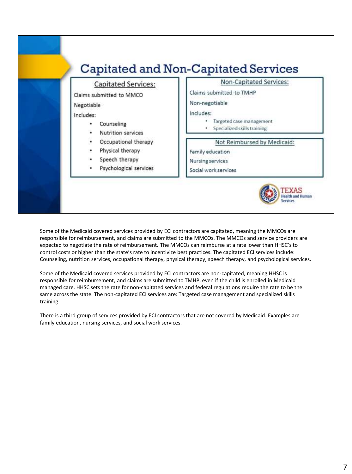

Some of the Medicaid covered services provided by ECI contractors are capitated, meaning the MMCOs are responsible for reimbursement, and claims are submitted to the MMCOs. The MMCOs and service providers are expected to negotiate the rate of reimbursement. The MMCOs can reimburse at a rate lower than HHSC's to control costs or higher than the state's rate to incentivize best practices. The capitated ECI services include: Counseling, nutrition services, occupational therapy, physical therapy, speech therapy, and psychological services.

Some of the Medicaid covered services provided by ECI contractors are non-capitated, meaning HHSC is responsible for reimbursement, and claims are submitted to TMHP, even if the child is enrolled in Medicaid managed care. HHSC sets the rate for non-capitated services and federal regulations require the rate to be the same across the state. The non-capitated ECI services are: Targeted case management and specialized skills training.

There is a third group of services provided by ECI contractors that are not covered by Medicaid. Examples are family education, nursing services, and social work services.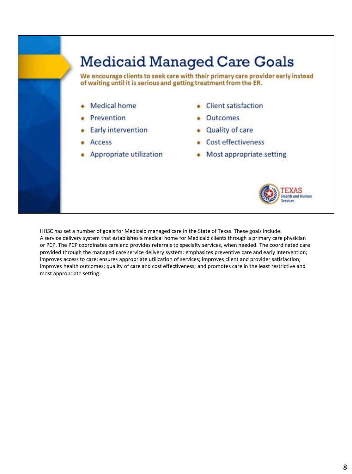

HHSC has set a number of goals for Medicaid managed care in the State of Texas. These goals include: A service delivery system that establishes a medical home for Medicaid clients through a primary care physician or PCP. The PCP coordinates care and provides referrals to specialty services, when needed. The coordinated care provided through the managed care service delivery system: emphasizes preventive care and early intervention; improves access to care; ensures appropriate utilization of services; improves client and provider satisfaction; improves health outcomes; quality of care and cost effectiveness; and promotes care in the least restrictive and most appropriate setting.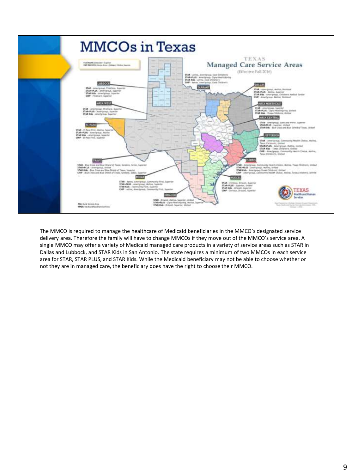

The MMCO is required to manage the healthcare of Medicaid beneficiaries in the MMCO's designated service delivery area. Therefore the family will have to change MMCOs if they move out of the MMCO's service area. A single MMCO may offer a variety of Medicaid managed care products in a variety of service areas such as STAR in Dallas and Lubbock, and STAR Kids in San Antonio. The state requires a minimum of two MMCOs in each service area for STAR, STAR PLUS, and STAR Kids. While the Medicaid beneficiary may not be able to choose whether or not they are in managed care, the beneficiary does have the right to choose their MMCO.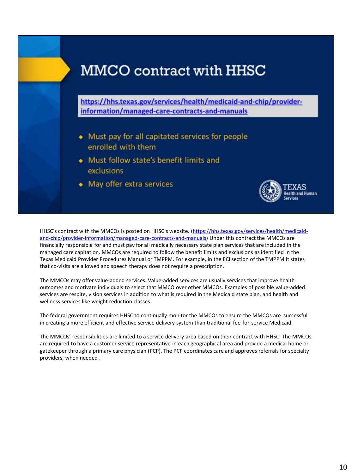# **MMCO** contract with HHSC https://hhs.texas.gov/services/health/medicaid-and-chip/providerinformation/managed-care-contracts-and-manuals

- Must pay for all capitated services for people enrolled with them
- Must follow state's benefit limits and exclusions
- May offer extra services



HHSC's contract with the MMCOs is posted on HHSC's website. (https://hhs.texas.gov/services/health/medicaid[and-chip/provider-information/managed-care-contracts-and-manuals\) Under](https://hhs.texas.gov/services/health/medicaid-and-chip/provider-information/managed-care-contracts-and-manuals) this contract the MMCOs are financially responsible for and must pay for all medically necessary state plan services that are included in the managed care capitation. MMCOs are required to follow the benefit limits and exclusions as identified in the Texas Medicaid Provider Procedures Manual or TMPPM. For example, in the ECI section of the TMPPM it states that co-visits are allowed and speech therapy does not require a prescription.

The MMCOs may offer value-added services. Value-added services are usually services that improve health outcomes and motivate individuals to select that MMCO over other MMCOs. Examples of possible value-added services are respite, vision services in addition to what is required in the Medicaid state plan, and health and wellness services like weight reduction classes.

The federal government requires HHSC to continually monitor the MMCOs to ensure the MMCOs are successful in creating a more efficient and effective service delivery system than traditional fee-for-service Medicaid.

The MMCOs' responsibilities are limited to a service delivery area based on their contract with HHSC. The MMCOs are required to have a customer service representative in each geographical area and provide a medical home or gatekeeper through a primary care physician (PCP). The PCP coordinates care and approves referrals for specialty providers, when needed .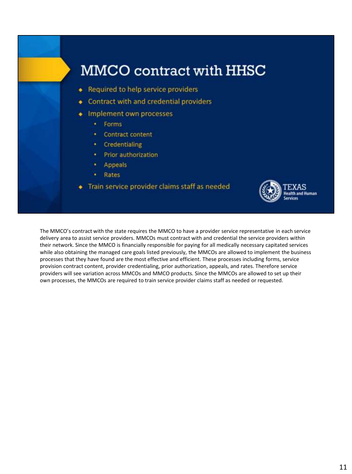

The MMCO's contract with the state requires the MMCO to have a provider service representative in each service delivery area to assist service providers. MMCOs must contract with and credential the service providers within their network. Since the MMCO is financially responsible for paying for all medically necessary capitated services while also obtaining the managed care goals listed previously, the MMCOs are allowed to implement the business processes that they have found are the most effective and efficient. These processes including forms, service provision contract content, provider credentialing, prior authorization, appeals, and rates. Therefore service providers will see variation across MMCOs and MMCO products. Since the MMCOs are allowed to set up their own processes, the MMCOs are required to train service provider claims staff as needed or requested.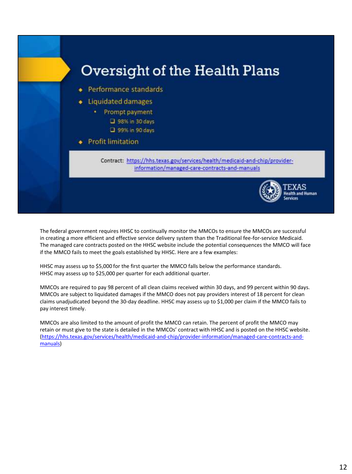

The federal government requires HHSC to continually monitor the MMCOs to ensure the MMCOs are successful in creating a more efficient and effective service delivery system than the Traditional fee-for-service Medicaid. The managed care contracts posted on the HHSC website include the potential consequences the MMCO will face if the MMCO fails to meet the goals established by HHSC. Here are a few examples:

HHSC may assess up to \$5,000 for the first quarter the MMCO falls below the performance standards. HHSC may assess up to \$25,000 per quarter for each additional quarter.

MMCOs are required to pay 98 percent of all clean claims received within 30 days, and 99 percent within 90 days. MMCOs are subject to liquidated damages if the MMCO does not pay providers interest of 18 percent for clean claims unadjudicated beyond the 30-day deadline. HHSC may assess up to \$1,000 per claim if the MMCO fails to pay interest timely.

MMCOs are also limited to the amount of profit the MMCO can retain. The percent of profit the MMCO may retain or must give to the state is detailed in the MMCOs' contract with HHSC and is posted on the HHSC website. [\(https://hhs.texas.gov/services/health/medicaid-and-chip/provider-information/managed-care-contracts-and](https://hhs.texas.gov/services/health/medicaid-and-chip/provider-information/managed-care-contracts-and-manuals)manuals)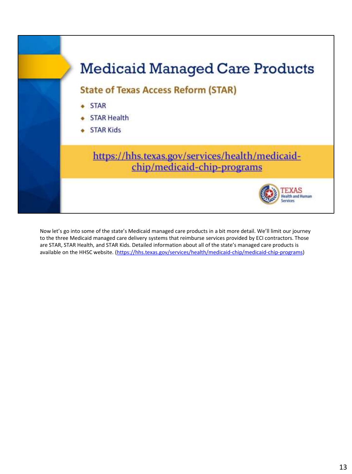

Now let's go into some of the state's Medicaid managed care products in a bit more detail. We'll limit our journey to the three Medicaid managed care delivery systems that reimburse services provided by ECI contractors. Those are STAR, STAR Health, and STAR Kids. Detailed information about all of the state's managed care products is available on the HHSC website. [\(https://hhs.texas.gov/services/health/medicaid-chip/medicaid-chip-programs](https://hhs.texas.gov/services/health/medicaid-chip/medicaid-chip-programs))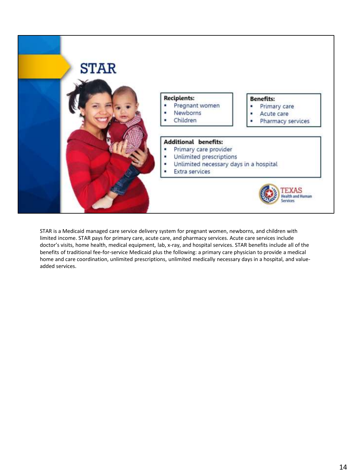

STAR is a Medicaid managed care service delivery system for pregnant women, newborns, and children with limited income. STAR pays for primary care, acute care, and pharmacy services. Acute care services include doctor's visits, home health, medical equipment, lab, x-ray, and hospital services. STAR benefits include all of the benefits of traditional fee-for-service Medicaid plus the following: a primary care physician to provide a medical home and care coordination, unlimited prescriptions, unlimited medically necessary days in a hospital, and valueadded services.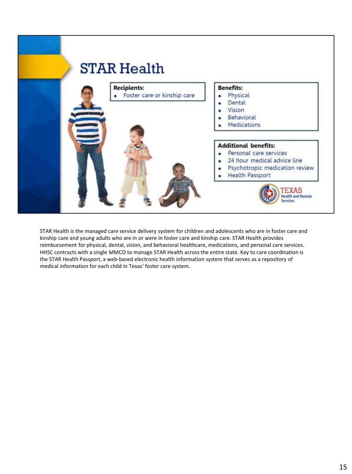

STAR Health is the managed care service delivery system for children and adolescents who are in foster care and kinship care and young adults who are in or were in foster care and kinship care. STAR Health provides reimbursement for physical, dental, vision, and behavioral healthcare, medications, and personal care services. HHSC contracts with a single MMCO to manage STAR Health across the entire state. Key to care coordination is the STAR Health Passport, a web-based electronic health information system that serves as a repository of medical information for each child in Texas' foster care system.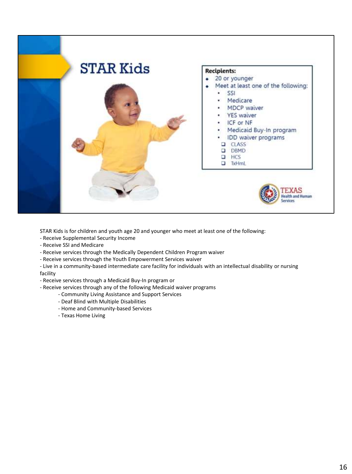

STAR Kids is for children and youth age 20 and younger who meet at least one of the following:

- Receive Supplemental Security Income
- Receive SSI and Medicare
- Receive services through the Medically Dependent Children Program waiver
- Receive services through the Youth Empowerment Services waiver

- Live in a community-based intermediate care facility for individuals with an intellectual disability or nursing facility

- Receive services through a Medicaid Buy-In program or
- Receive services through any of the following Medicaid waiver programs
	- Community Living Assistance and Support Services
	- Deaf Blind with Multiple Disabilities
	- Home and Community-based Services
	- Texas Home Living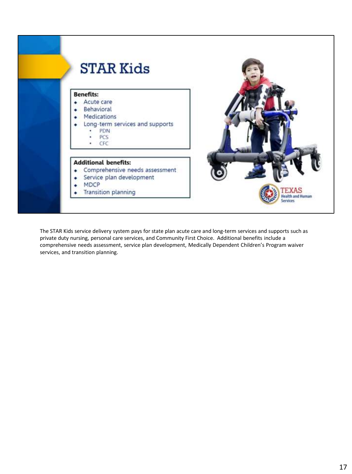

The STAR Kids service delivery system pays for state plan acute care and long-term services and supports such as private duty nursing, personal care services, and Community First Choice. Additional benefits include a comprehensive needs assessment, service plan development, Medically Dependent Children's Program waiver services, and transition planning.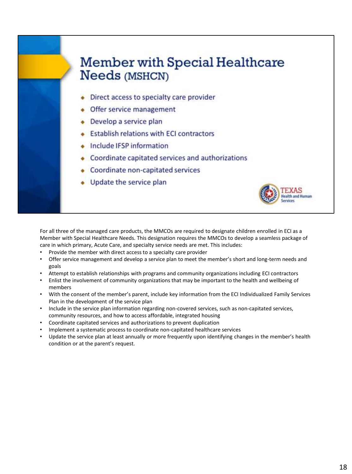#### **Member with Special Healthcare Needs (MSHCN)**

- Direct access to specialty care provider
- Offer service management
- Develop a service plan
- **Establish relations with ECI contractors**
- Include IFSP information
- Coordinate capitated services and authorizations
- Coordinate non-capitated services
- Update the service plan



For all three of the managed care products, the MMCOs are required to designate children enrolled in ECI as a Member with Special Healthcare Needs. This designation requires the MMCOs to develop a seamless package of care in which primary, Acute Care, and specialty service needs are met. This includes:

- Provide the member with direct access to a specialty care provider
- Offer service management and develop a service plan to meet the member's short and long-term needs and goals
- Attempt to establish relationships with programs and community organizations including ECI contractors
- Enlist the involvement of community organizations that may be important to the health and wellbeing of members
- With the consent of the member's parent, include key information from the ECI Individualized Family Services Plan in the development of the service plan
- Include in the service plan information regarding non-covered services, such as non-capitated services, community resources, and how to access affordable, integrated housing
- Coordinate capitated services and authorizations to prevent duplication
- Implement a systematic process to coordinate non-capitated healthcare services
- Update the service plan at least annually or more frequently upon identifying changes in the member's health condition or at the parent's request.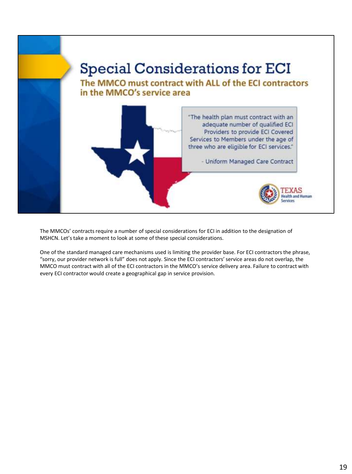

The MMCOs' contracts require a number of special considerations for ECI in addition to the designation of MSHCN. Let's take a moment to look at some of these special considerations.

One of the standard managed care mechanisms used is limiting the provider base. For ECI contractors the phrase, "sorry, our provider network is full" does not apply. Since the ECI contractors' service areas do not overlap, the MMCO must contract with all of the ECI contractors in the MMCO's service delivery area. Failure to contract with every ECI contractor would create a geographical gap in service provision.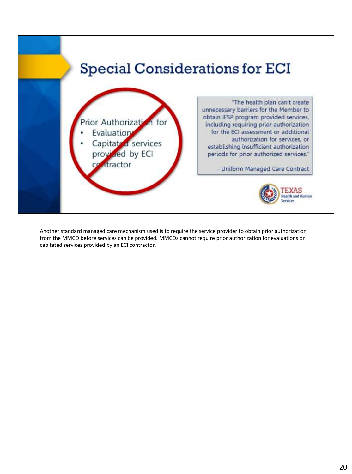

Another standard managed care mechanism used is to require the service provider to obtain prior authorization from the MMCO before services can be provided. MMCOs cannot require prior authorization for evaluations or capitated services provided by an ECI contractor.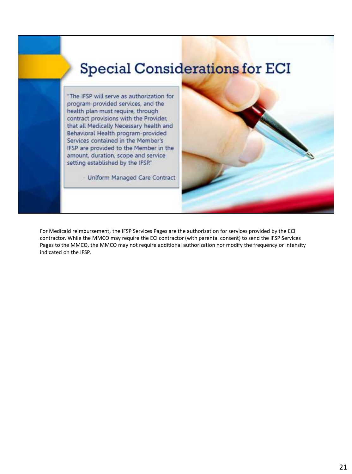### **Special Considerations for ECI**

"The IFSP will serve as authorization for program-provided services, and the health plan must require, through contract provisions with the Provider. that all Medically Necessary health and Behavioral Health program-provided Services contained in the Member's IFSP are provided to the Member in the amount, duration, scope and service setting established by the IFSP."

- Uniform Managed Care Contract

For Medicaid reimbursement, the IFSP Services Pages are the authorization for services provided by the ECI contractor. While the MMCO may require the ECI contractor (with parental consent) to send the IFSP Services Pages to the MMCO, the MMCO may not require additional authorization nor modify the frequency or intensity indicated on the IFSP.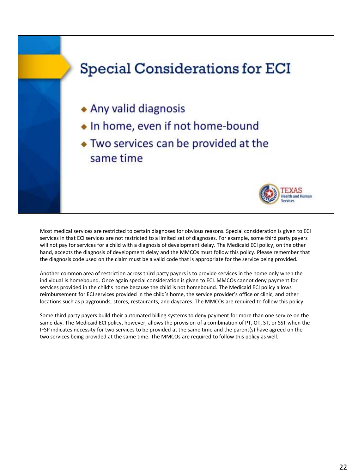# **Special Considerations for ECI** • Any valid diagnosis • In home, even if not home-bound • Two services can be provided at the same time

Most medical services are restricted to certain diagnoses for obvious reasons. Special consideration is given to ECI services in that ECI services are not restricted to a limited set of diagnoses. For example, some third party payers will not pay for services for a child with a diagnosis of development delay. The Medicaid ECI policy, on the other hand, accepts the diagnosis of development delay and the MMCOs must follow this policy. Please remember that the diagnosis code used on the claim must be a valid code that is appropriate for the service being provided.

Another common area of restriction across third party payers is to provide services in the home only when the individual is homebound. Once again special consideration is given to ECI. MMCOs cannot deny payment for services provided in the child's home because the child is not homebound. The Medicaid ECI policy allows reimbursement for ECI services provided in the child's home, the service provider's office or clinic, and other locations such as playgrounds, stores, restaurants, and daycares. The MMCOs are required to follow this policy.

Some third party payers build their automated billing systems to deny payment for more than one service on the same day. The Medicaid ECI policy, however, allows the provision of a combination of PT, OT, ST, or SST when the IFSP indicates necessity for two services to be provided at the same time and the parent(s) have agreed on the two services being provided at the same time. The MMCOs are required to follow this policy as well.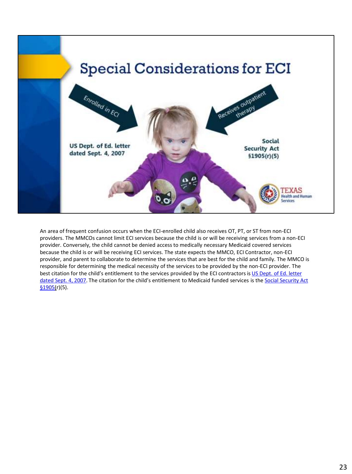

An area of frequent confusion occurs when the ECI-enrolled child also receives OT, PT, or ST from non-ECI providers. The MMCOs cannot limit ECI services because the child is or will be receiving services from a non-ECI provider. Conversely, the child cannot be denied access to medically necessary Medicaid covered services because the child is or will be receiving ECI services. The state expects the MMCO, ECI Contractor, non-ECI provider, and parent to collaborate to determine the services that are best for the child and family. The MMCO is responsible for determining the medical necessity of the services to be provided by the non-ECI provider. The best citation for the child's entitlement to the services provided by the ECI contractors is US Dept. of Ed. letter dated Sept. 4, 2007. T[he citation for the child's entitlement to Medicaid funded services](http://www2.ed.gov/policy/speced/guid/idea/letters/2007-3/kane090407ifsp3q2007.doc) is the Social Security Act  $$1905(r)(5).$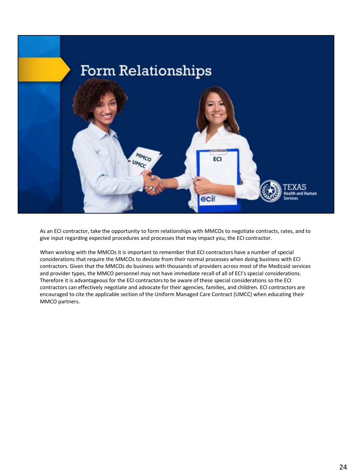

As an ECI contractor, take the opportunity to form relationships with MMCOs to negotiate contracts, rates, and to give input regarding expected procedures and processes that may impact you, the ECI contractor.

When working with the MMCOs it is important to remember that ECI contractors have a number of special considerations that require the MMCOs to deviate from their normal processes when doing business with ECI contractors. Given that the MMCOs do business with thousands of providers across most of the Medicaid services and provider types, the MMCO personnel may not have immediate recall of all of ECI's special considerations. Therefore it is advantageous for the ECI contractors to be aware of these special considerations so the ECI contractors can effectively negotiate and advocate for their agencies, families, and children. ECI contractors are encouraged to cite the applicable section of the Uniform Managed Care Contract (UMCC) when educating their MMCO partners.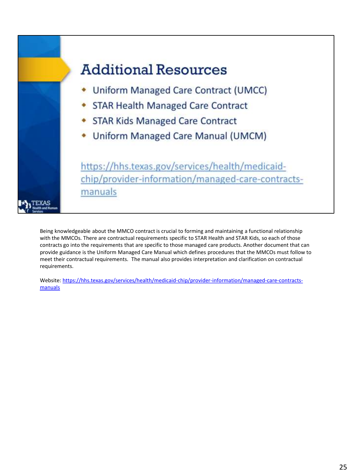

Being knowledgeable about the MMCO contract is crucial to forming and maintaining a functional relationship with the MMCOs. There are contractual requirements specific to STAR Health and STAR Kids, so each of those contracts go into the requirements that are specific to those managed care products. Another document that can provide guidance is the Uniform Managed Care Manual which defines procedures that the MMCOs must follow to meet their contractual requirements. The manual also provides interpretation and clarification on contractual requirements.

[Website: https://hhs.texas.gov/services/health/medicaid-chip/provider-information/managed-care-contracts](https://hhs.texas.gov/services/health/medicaid-chip/provider-information/managed-care-contracts-manuals)manuals